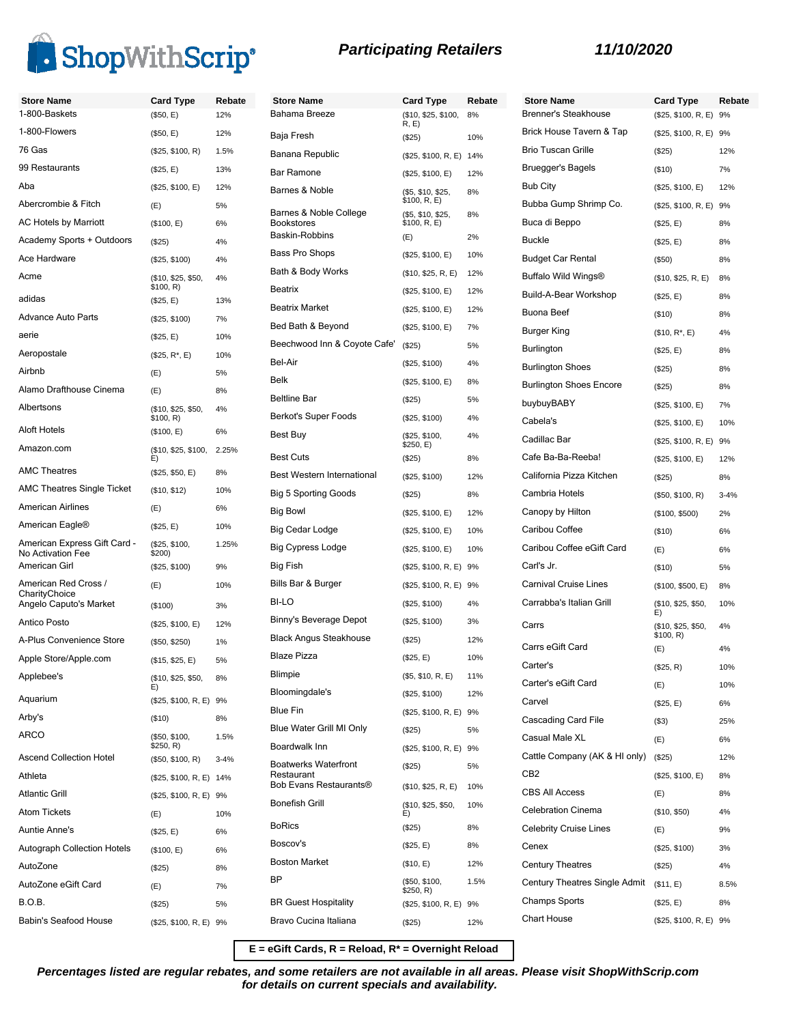

| <b>Store Name</b><br>1-800-Baskets                | <b>Card Type</b>                | Rebate<br>12% | <b>Store Name</b><br>Bahama Breeze   | <b>Card Type</b>                  | Rebate<br>8% |
|---------------------------------------------------|---------------------------------|---------------|--------------------------------------|-----------------------------------|--------------|
| 1-800-Flowers                                     | (\$50, E)                       |               |                                      | (\$10, \$25, \$100,<br>R, E)      |              |
| 76 Gas                                            | (\$50, E)                       | 12%           | Baja Fresh                           | (\$25)                            | 10%          |
|                                                   | (\$25, \$100, R)                | 1.5%          | Banana Republic                      | (\$25, \$100, R, E) 14%           |              |
| 99 Restaurants                                    | (\$25, E)                       | 13%           | <b>Bar Ramone</b>                    | (\$25, \$100, E)                  | 12%          |
| Aba                                               | (\$25, \$100, E)                | 12%           | Barnes & Noble                       | (\$5, \$10, \$25,<br>\$100, R, E) | 8%           |
| Abercrombie & Fitch                               | (E)                             | 5%            | Barnes & Noble College               | (\$5, \$10, \$25,                 | 8%           |
| <b>AC Hotels by Marriott</b>                      | (\$100, E)                      | 6%            | <b>Bookstores</b><br>Baskin-Robbins  | \$100, R, E)<br>(E)               | 2%           |
| Academy Sports + Outdoors                         | (\$25)                          | 4%            | <b>Bass Pro Shops</b>                |                                   |              |
| Ace Hardware                                      | (\$25, \$100)                   | 4%            | Bath & Body Works                    | (\$25, \$100, E)                  | 10%          |
| Acme                                              | (\$10, \$25, \$50,<br>\$100, R) | 4%            | Beatrix                              | (\$10, \$25, R, E)                | 12%          |
| adidas                                            | (\$25, E)                       | 13%           | <b>Beatrix Market</b>                | (\$25, \$100, E)                  | 12%          |
| <b>Advance Auto Parts</b>                         | (\$25, \$100)                   | 7%            |                                      | (\$25, \$100, E)                  | 12%          |
| aerie                                             | (\$25, E)                       | 10%           | Bed Bath & Beyond                    | (\$25, \$100, E)                  | 7%           |
| Aeropostale                                       | $($25, R^*, E)$                 | 10%           | Beechwood Inn & Coyote Cafe'         | (S25)                             | 5%           |
| Airbnb                                            | (E)                             | 5%            | Bel-Air                              | (\$25, \$100)                     | 4%           |
| Alamo Drafthouse Cinema                           | (E)                             | 8%            | <b>Belk</b>                          | (\$25, \$100, E)                  | 8%           |
| Albertsons                                        | (\$10, \$25, \$50,              | 4%            | <b>Beltline Bar</b>                  | (\$25)                            | 5%           |
| Aloft Hotels                                      | \$100, R)<br>(\$100, E)         | 6%            | Berkot's Super Foods                 | (\$25, \$100)                     | 4%           |
| Amazon.com                                        |                                 |               | Best Buy                             | (\$25, \$100,<br>\$250, E)        | 4%           |
|                                                   | (\$10, \$25, \$100,<br>E)       | 2.25%         | <b>Best Cuts</b>                     | (\$25)                            | 8%           |
| <b>AMC Theatres</b>                               | (\$25, \$50, E)                 | 8%            | Best Western International           | (\$25, \$100)                     | 12%          |
| <b>AMC Theatres Single Ticket</b>                 | (\$10, \$12)                    | 10%           | <b>Big 5 Sporting Goods</b>          | (\$25)                            | 8%           |
| <b>American Airlines</b>                          | (E)                             | 6%            | Big Bowl                             | (\$25, \$100, E)                  | 12%          |
| American Eagle <sup>®</sup>                       | (\$25, E)                       | 10%           | Big Cedar Lodge                      | (\$25, \$100, E)                  | 10%          |
| American Express Gift Card -<br>No Activation Fee | (\$25, \$100,<br>\$200)         | 1.25%         | <b>Big Cypress Lodge</b>             | (\$25, \$100, E)                  | 10%          |
| American Girl                                     | (\$25, \$100)                   | 9%            | Big Fish                             | (\$25, \$100, R, E) 9%            |              |
| American Red Cross /                              | (E)                             | 10%           | Bills Bar & Burger                   | (\$25, \$100, R, E)               | 9%           |
| CharityChoice<br>Angelo Caputo's Market           | (\$100)                         | 3%            | BI-LO                                | (\$25, \$100)                     | 4%           |
| Antico Posto                                      | (\$25, \$100, E)                | 12%           | Binny's Beverage Depot               | (\$25, \$100)                     | 3%           |
| A-Plus Convenience Store                          | (\$50, \$250)                   | 1%            | <b>Black Angus Steakhouse</b>        | (\$25)                            | 12%          |
| Apple Store/Apple.com                             | (\$15, \$25, E)                 | 5%            | <b>Blaze Pizza</b>                   | (\$25, E)                         | 10%          |
| Applebee's                                        | (\$10, \$25, \$50,              | 8%            | Blimpie                              | (\$5, \$10, R, E)                 | 11%          |
| Aquarium                                          | E)                              |               | Bloomingdale's                       | (\$25, \$100)                     | 12%          |
| Arby's                                            | (\$25, \$100, R, E) 9%          |               | Blue Fin                             | (\$25, \$100, R, E) 9%            |              |
| <b>ARCO</b>                                       | (\$10)                          | 8%            | Blue Water Grill MI Only             | $(\$25)$                          | 5%           |
|                                                   | (\$50, \$100,<br>\$250, R)      | 1.5%          | Boardwalk Inn                        | (\$25, \$100, R, E) 9%            |              |
| <b>Ascend Collection Hotel</b>                    | (\$50, \$100, R)                | $3 - 4%$      | <b>Boatwerks Waterfront</b>          | $(\$25)$                          | 5%           |
| Athleta                                           | (\$25, \$100, R, E) 14%         |               | Restaurant<br>Bob Evans Restaurants® | (\$10, \$25, R, E)                | 10%          |
| <b>Atlantic Grill</b>                             | (\$25, \$100, R, E) 9%          |               | <b>Bonefish Grill</b>                | (\$10, \$25, \$50,                | 10%          |
| <b>Atom Tickets</b>                               | (E)                             | 10%           |                                      | E)                                |              |
| Auntie Anne's                                     | (\$25, E)                       | 6%            | <b>BoRics</b>                        | (\$25)                            | 8%           |
| <b>Autograph Collection Hotels</b>                | (\$100, E)                      | 6%            | Boscov's                             | (\$25, E)                         | 8%           |
| AutoZone                                          | $(\$25)$                        | 8%            | <b>Boston Market</b>                 | (\$10, E)                         | 12%          |
| AutoZone eGift Card                               | (E)                             | 7%            | ΒP                                   | (\$50, \$100,<br>\$250, R)        | 1.5%         |
| <b>B.O.B.</b>                                     | $(\$25)$                        | 5%            | <b>BR Guest Hospitality</b>          | (\$25, \$100, R, E) 9%            |              |
| Babin's Seafood House                             | (\$25, \$100, R, E) 9%          |               | Bravo Cucina Italiana                | $(\$25)$                          | 12%          |

| <b>Store Name</b><br><b>Brenner's Steakhouse</b> | Card Type<br>(\$25, \$100, R, E) 9%   | Rebate   |
|--------------------------------------------------|---------------------------------------|----------|
| Brick House Tavern & Tap                         | (\$25, \$100, R, E) 9%                |          |
| <b>Brio Tuscan Grille</b>                        | (S25)                                 | 12%      |
| <b>Bruegger's Bagels</b>                         | (\$10)                                | 7%       |
| <b>Bub City</b>                                  | (\$25, \$100, E)                      | 12%      |
| Bubba Gump Shrimp Co.                            | (\$25, \$100, R, E)                   | 9%       |
| Buca di Beppo                                    | (\$25, E)                             | 8%       |
| <b>Buckle</b>                                    | (\$25, E)                             | 8%       |
| <b>Budget Car Rental</b>                         | $($ \$50)                             | 8%       |
| Buffalo Wild Wings®                              | (\$10, \$25, R, E)                    | 8%       |
| Build-A-Bear Workshop                            | (\$25, E)                             | 8%       |
| <b>Buona Beef</b>                                | (\$10)                                | 8%       |
| Burger King                                      | $($10, R^*, E)$                       | 4%       |
| Burlington                                       | (\$25, E)                             | 8%       |
| <b>Burlington Shoes</b>                          | (\$25)                                | 8%       |
| <b>Burlington Shoes Encore</b>                   | (\$25)                                | 8%       |
| buybuyBABY                                       | (\$25, \$100, E)                      | 7%       |
| Cabela's                                         | (\$25, \$100, E)                      | 10%      |
| Cadillac Bar                                     | (\$25, \$100, R, E)                   | 9%       |
| Cafe Ba-Ba-Reeba!                                | (\$25, \$100, E)                      | 12%      |
| California Pizza Kitchen                         | (S25)                                 | 8%       |
| Cambria Hotels                                   | (\$50, \$100, R)                      | $3 - 4%$ |
| Canopy by Hilton                                 | (\$100, \$500)                        | 2%       |
| Caribou Coffee                                   | (\$10)                                | 6%       |
| Caribou Coffee eGift Card                        | (E)                                   | 6%       |
| Carl's Jr.                                       | (\$10)                                | 5%       |
| <b>Carnival Cruise Lines</b>                     | (\$100, \$500, E)                     | 8%       |
| Carrabba's Italian Grill                         | (\$10, \$25, \$50,                    | 10%      |
| Carrs                                            | E)<br>(\$10, \$25, \$50,<br>\$100, R) | 4%       |
| Carrs eGift Card                                 | (E)                                   | 4%       |
| Carter's                                         | (\$25, R)                             | 10%      |
| Carter's eGift Card                              | (E)                                   | 10%      |
| Carvel                                           | (\$25, E)                             | 6%       |
| Cascading Card File                              | $($ \$3)                              | 25%      |
| Casual Male XL                                   | (E)                                   | 6%       |
| Cattle Company (AK & HI only)                    | (\$25)                                | 12%      |
| CB <sub>2</sub>                                  | (\$25, \$100, E)                      | 8%       |
| <b>CBS All Access</b>                            | (E)                                   | 8%       |
| <b>Celebration Cinema</b>                        | (\$10, \$50)                          | 4%       |
| <b>Celebrity Cruise Lines</b>                    | (E)                                   | 9%       |
| Cenex                                            | (\$25, \$100)                         | 3%       |
| <b>Century Theatres</b>                          | (\$25)                                | 4%       |
| Century Theatres Single Admit                    | (\$11, E)                             | 8.5%     |
| Champs Sports                                    | (\$25, E)                             | 8%       |
| <b>Chart House</b>                               | (\$25, \$100, R, E) 9%                |          |

**E = eGift Cards, R = Reload, R\* = Overnight Reload**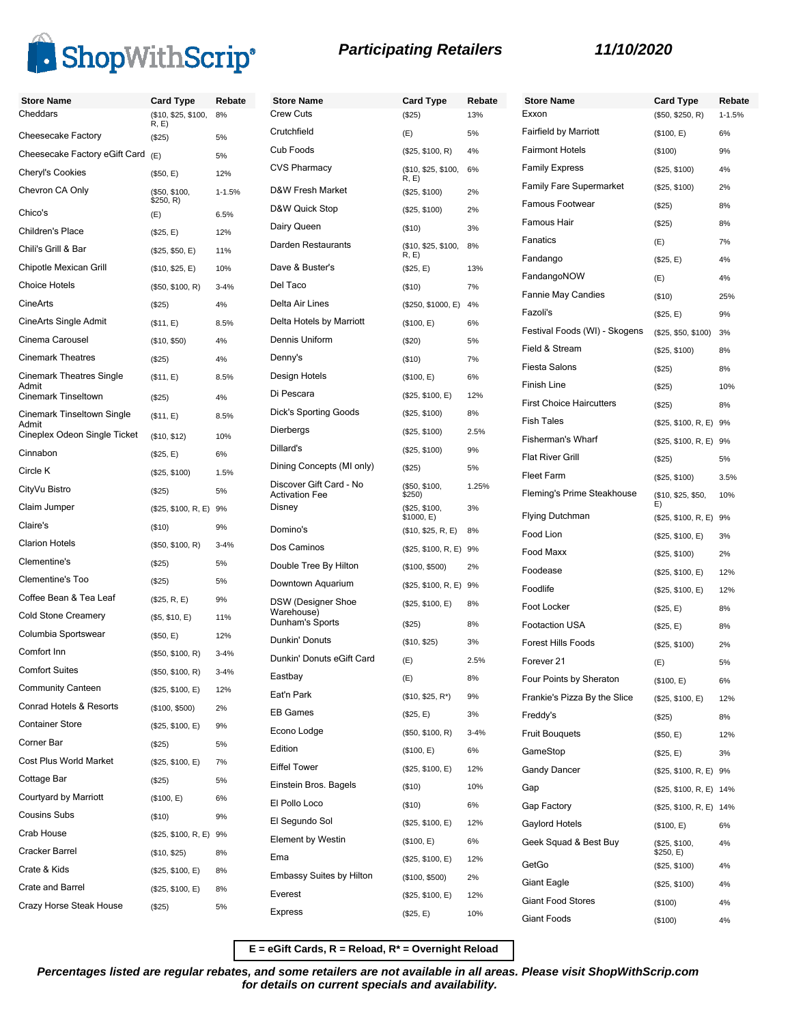

| <b>Participating Retailers</b> |  |
|--------------------------------|--|
|--------------------------------|--|

| <b>Store Name</b>                     | <b>Card Type</b>             | Rebate     | <b>Store Name</b>                       | <b>Card Type</b>            | Rebate   | <b>Store</b>     |
|---------------------------------------|------------------------------|------------|-----------------------------------------|-----------------------------|----------|------------------|
| Cheddars                              | (\$10, \$25, \$100,<br>R, E) | 8%         | <b>Crew Cuts</b>                        | (\$25)                      | 13%      | Exxon            |
| Cheesecake Factory                    | (\$25)                       | 5%         | Crutchfield                             | (E)                         | 5%       | Fairfiel         |
| Cheesecake Factory eGift Card         | (E)                          | 5%         | Cub Foods                               | (\$25, \$100, R)            | 4%       | Fairmo           |
| Cheryl's Cookies                      | (\$50, E)                    | 12%        | <b>CVS Pharmacy</b>                     | (\$10, \$25, \$100,<br>R, E | 6%       | Family           |
| Chevron CA Only                       | (\$50, \$100,<br>\$250, R)   | $1 - 1.5%$ | D&W Fresh Market                        | (\$25, \$100)               | 2%       | Family           |
| Chico's                               | (E)                          | 6.5%       | D&W Quick Stop                          | (\$25, \$100)               | 2%       | Famou            |
| Children's Place                      | (\$25, E)                    | 12%        | Dairy Queen                             | (\$10)                      | 3%       | Famou            |
| Chili's Grill & Bar                   | (\$25, \$50, E)              | 11%        | Darden Restaurants                      | (\$10, \$25, \$100,<br>R, E | 8%       | Fanatio          |
| Chipotle Mexican Grill                | (\$10, \$25, E)              | 10%        | Dave & Buster's                         | (\$25, E)                   | 13%      | Fandar<br>Fandar |
| <b>Choice Hotels</b>                  | (\$50, \$100, R)             | $3 - 4%$   | Del Taco                                | (\$10)                      | 7%       |                  |
| CineArts                              | (\$25)                       | 4%         | Delta Air Lines                         | (\$250, \$1000, E) 4%       |          | Fannie           |
| CineArts Single Admit                 | (\$11, E)                    | 8.5%       | Delta Hotels by Marriott                | (\$100, E)                  | 6%       | Fazoli's         |
| Cinema Carousel                       | (\$10, \$50)                 | 4%         | Dennis Uniform                          | (\$20)                      | 5%       | Festiva          |
| <b>Cinemark Theatres</b>              | (\$25)                       | 4%         | Denny's                                 | (\$10)                      | 7%       | Field &          |
| <b>Cinemark Theatres Single</b>       | (\$11, E)                    | 8.5%       | Design Hotels                           | (\$100, E)                  | 6%       | Fiesta !         |
| Admit<br>Cinemark Tinseltown          | (\$25)                       | 4%         | Di Pescara                              | (\$25, \$100, E)            | 12%      | Finish I         |
| Cinemark Tinseltown Single            | (\$11, E)                    | 8.5%       | Dick's Sporting Goods                   | (\$25, \$100)               | 8%       | First Cl         |
| Admit<br>Cineplex Odeon Single Ticket | (\$10, \$12)                 | 10%        | Dierbergs                               | (\$25, \$100)               | 2.5%     | Fish Ta          |
| Cinnabon                              | (\$25, E)                    | 6%         | Dillard's                               | (\$25, \$100)               | 9%       | Fisherr          |
| Circle K                              | (\$25, \$100)                | 1.5%       | Dining Concepts (MI only)               | (\$25)                      | 5%       | Flat Riv         |
| CityVu Bistro                         | (\$25)                       | 5%         | Discover Gift Card - No                 | (\$50, \$100,               | 1.25%    | Fleet F          |
| Claim Jumper                          | (\$25, \$100, R, E) 9%       |            | <b>Activation Fee</b><br>Disney         | \$250)<br>(\$25, \$100,     | 3%       | Fleming          |
| Claire's                              | (\$10)                       | 9%         | Domino's                                | \$1000, E)                  |          | Flying I         |
| <b>Clarion Hotels</b>                 | (\$50, \$100, R)             | $3 - 4%$   | Dos Caminos                             | (\$10, \$25, R, E)          | 8%       | Food L           |
| Clementine's                          | (\$25)                       | 5%         | Double Tree By Hilton                   | (\$25, \$100, R, E) 9%      |          | Food M           |
| Clementine's Too                      | (\$25)                       | 5%         |                                         | (\$100, \$500)              | 2%       | Foodea           |
| Coffee Bean & Tea Leaf                | (\$25, R, E)                 | 9%         | Downtown Aquarium                       | (\$25, \$100, R, E) 9%      |          | <b>Foodlife</b>  |
| <b>Cold Stone Creamery</b>            | (\$5, \$10, E)               | 11%        | <b>DSW (Designer Shoe</b><br>Warehouse) | (\$25, \$100, E)            | 8%       | Foot Lo          |
| Columbia Sportswear                   | (\$50, E)                    | 12%        | Dunham's Sports                         | (\$25)                      | 8%       | Footact          |
| Comfort Inn                           | (\$50, \$100, R)             | $3 - 4%$   | Dunkin' Donuts                          | (\$10, \$25)                | 3%       | Forest           |
| <b>Comfort Suites</b>                 | (\$50, \$100, R)             | $3 - 4%$   | Dunkin' Donuts eGift Card               | (E)                         | 2.5%     | Foreve           |
| <b>Community Canteen</b>              | (\$25, \$100, E)             | 12%        | Eastbay                                 | (E)                         | 8%       | Four Po          |
| Conrad Hotels & Resorts               | (\$100, \$500)               | 2%         | Eat'n Park                              | $($10, $25, R^*)$           | 9%       | Frankie          |
| <b>Container Store</b>                | (\$25, \$100, E)             | 9%         | <b>EB Games</b>                         | (\$25, E)                   | 3%       | Freddy           |
| Corner Bar                            | (\$25)                       | 5%         | Econo Lodge                             | (\$50, \$100, R)            | $3 - 4%$ | Fruit Bo         |
| Cost Plus World Market                | (\$25, \$100, E)             | 7%         | Edition                                 | (\$100, E)                  | 6%       | GameS            |
| Cottage Bar                           | (\$25)                       | 5%         | <b>Eiffel Tower</b>                     | (\$25, \$100, E)            | 12%      | Gandy            |
| Courtyard by Marriott                 |                              | 6%         | Einstein Bros. Bagels                   | (\$10)                      | 10%      | Gap              |
| <b>Cousins Subs</b>                   | (\$100, E)                   | 9%         | El Pollo Loco                           | (\$10)                      | 6%       | Gap Fa           |
| Crab House                            | (\$10)                       |            | El Segundo Sol                          | (\$25, \$100, E)            | 12%      | Gaylor           |
| Cracker Barrel                        | (\$25, \$100, R, E) 9%       |            | <b>Element by Westin</b>                | (\$100, E)                  | 6%       | Geek S           |
| Crate & Kids                          | (\$10, \$25)                 | 8%         | Ema                                     | (\$25, \$100, E)            | 12%      | GetGo            |
| Crate and Barrel                      | (\$25, \$100, E)             | 8%         | <b>Embassy Suites by Hilton</b>         | (\$100, \$500)              | 2%       | Giant E          |
| Crazy Horse Steak House               | (\$25, \$100, E)             | 8%         | Everest                                 | (\$25, \$100, E)            | 12%      | Giant F          |
|                                       | (\$25)                       | 5%         | <b>Express</b>                          | (\$25, E)                   | 10%      | Giant F          |

| <b>Store Name</b>               | <b>Card Type</b>             | Rebate     |
|---------------------------------|------------------------------|------------|
| Exxon                           | (\$50, \$250, R)             | $1 - 1.5%$ |
| <b>Fairfield by Marriott</b>    | (\$100, E)                   | 6%         |
| <b>Fairmont Hotels</b>          | (\$100)                      | 9%         |
| Family Express                  | (\$25, \$100)                | 4%         |
| <b>Family Fare Supermarket</b>  | (\$25, \$100)                | 2%         |
| Famous Footwear                 | (\$25)                       | 8%         |
| Famous Hair                     | (\$25)                       | 8%         |
| Fanatics                        | (E)                          | 7%         |
| Fandango                        | (\$25, E)                    | 4%         |
| FandangoNOW                     | (E)                          | 4%         |
| <b>Fannie May Candies</b>       | (\$10)                       | 25%        |
| Fazoli's                        | (\$25, E)                    | 9%         |
| Festival Foods (WI) - Skogens   | (\$25, \$50, \$100)          | 3%         |
| Field & Stream                  | (\$25, \$100)                | 8%         |
| <b>Fiesta Salons</b>            | (\$25)                       | 8%         |
| <b>Finish Line</b>              | (\$25)                       | 10%        |
| <b>First Choice Haircutters</b> | (\$25)                       | 8%         |
| <b>Fish Tales</b>               | (\$25, \$100, R, E)          | 9%         |
| <b>Fisherman's Wharf</b>        | (\$25, \$100, R, E) 9%       |            |
| <b>Flat River Grill</b>         | (\$25)                       | 5%         |
| <b>Fleet Farm</b>               | (\$25, \$100)                | 3.5%       |
| Fleming's Prime Steakhouse      | (\$10, \$25, \$50,           | 10%        |
| <b>Flying Dutchman</b>          | E)<br>(\$25, \$100, R, E) 9% |            |
| Food Lion                       | (\$25, \$100, E)             | 3%         |
| Food Maxx                       | (\$25, \$100)                | 2%         |
| Foodease                        | (\$25, \$100, E)             | 12%        |
| Foodlife                        | (\$25, \$100, E)             | 12%        |
| Foot Locker                     | (\$25, E)                    | 8%         |
| <b>Footaction USA</b>           | (\$25, E)                    | 8%         |
| <b>Forest Hills Foods</b>       | (\$25, \$100)                | 2%         |
| Forever <sub>21</sub>           | (E)                          | 5%         |
| Four Points by Sheraton         | (\$100, E)                   | 6%         |
| Frankie's Pizza By the Slice    | (\$25, \$100, E)             | 12%        |
| Freddy's                        | $(\$25)$                     | 8%         |
| <b>Fruit Bouquets</b>           | (\$50, E)                    | 12%        |
| GameStop                        | (\$25, E)                    | 3%         |
| Gandy Dancer                    | (\$25, \$100, R, E)          | 9%         |
| Gap                             | (\$25, \$100, R, E)          | 14%        |
| Gap Factory                     | (\$25, \$100, R, E)          | 14%        |
| Gaylord Hotels                  | (\$100, E)                   | 6%         |
| Geek Squad & Best Buy           | (\$25, \$100,<br>\$250, E)   | 4%         |
| GetGo                           | (\$25, \$100)                | 4%         |
| Giant Eagle                     | (\$25, \$100)                | 4%         |
| <b>Giant Food Stores</b>        | (\$100)                      | 4%         |
| Giant Foods                     | (\$100)                      | 4%         |

**E = eGift Cards, R = Reload, R\* = Overnight Reload**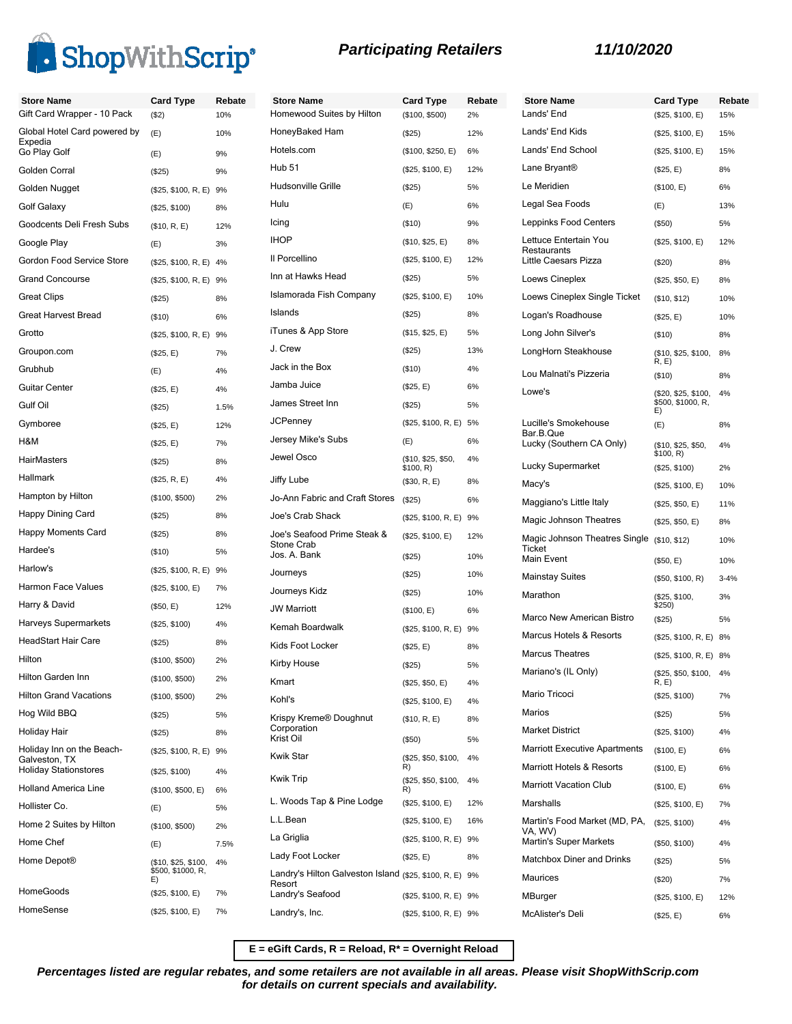

| <b>Participating Retailers</b> |  |
|--------------------------------|--|
|--------------------------------|--|

| <b>Store Name</b><br>Gift Card Wrapper - 10 Pack | <b>Card Type</b><br>(\$2)                | Rebate<br>10% | <b>Store Name</b><br>Homewood Suites by Hilton                              | <b>Card Type</b><br>(\$100, \$500) | Rebate<br>2% |
|--------------------------------------------------|------------------------------------------|---------------|-----------------------------------------------------------------------------|------------------------------------|--------------|
| Global Hotel Card powered by                     | (E)                                      | 10%           | HoneyBaked Ham                                                              | $(\$25)$                           | 12%          |
| Expedia<br>Go Play Golf                          | (E)                                      | 9%            | Hotels.com                                                                  | (\$100, \$250, E)                  | 6%           |
| Golden Corral                                    | (\$25)                                   | 9%            | <b>Hub 51</b>                                                               | (\$25, \$100, E)                   | 12%          |
| Golden Nugget                                    | (\$25, \$100, R, E) 9%                   |               | Hudsonville Grille                                                          | (\$25)                             | 5%           |
| Golf Galaxy                                      | (\$25, \$100)                            | 8%            | Hulu                                                                        | (E)                                | 6%           |
| Goodcents Deli Fresh Subs                        | (\$10, R, E)                             | 12%           | Icing                                                                       | (\$10)                             | 9%           |
| Google Play                                      | (E)                                      | 3%            | <b>IHOP</b>                                                                 | (\$10, \$25, E)                    | 8%           |
| Gordon Food Service Store                        | (\$25, \$100, R, E) 4%                   |               | Il Porcellino                                                               | (\$25, \$100, E)                   | 12%          |
| <b>Grand Concourse</b>                           | (\$25, \$100, R, E) 9%                   |               | Inn at Hawks Head                                                           | (\$25)                             | 5%           |
| <b>Great Clips</b>                               | (\$25)                                   | 8%            | Islamorada Fish Company                                                     | (\$25, \$100, E)                   | 10%          |
| <b>Great Harvest Bread</b>                       | (\$10)                                   | 6%            | Islands                                                                     | (\$25)                             | 8%           |
| Grotto                                           | (\$25, \$100, R, E)                      | 9%            | iTunes & App Store                                                          | (\$15, \$25, E)                    | 5%           |
| Groupon.com                                      | (\$25, E)                                | 7%            | J. Crew                                                                     | (\$25)                             | 13%          |
| Grubhub                                          | (E)                                      | 4%            | Jack in the Box                                                             | (\$10)                             | 4%           |
| Guitar Center                                    | (\$25, E)                                | 4%            | Jamba Juice                                                                 | (\$25, E)                          | 6%           |
| Gulf Oil                                         | (\$25)                                   | 1.5%          | James Street Inn                                                            | (\$25)                             | 5%           |
| Gymboree                                         | (\$25, E)                                | 12%           | <b>JCPenney</b>                                                             | (\$25, \$100, R, E) 5%             |              |
| H&M                                              | (\$25, E)                                | 7%            | Jersey Mike's Subs                                                          | (E)                                | 6%           |
| <b>HairMasters</b>                               | (\$25)                                   | 8%            | Jewel Osco                                                                  | (\$10, \$25, \$50,<br>\$100, R)    | 4%           |
| Hallmark                                         | (\$25, R, E)                             | 4%            | Jiffy Lube                                                                  | (\$30, R, E)                       | 8%           |
| Hampton by Hilton                                | (\$100, \$500)                           | 2%            | Jo-Ann Fabric and Craft Stores                                              | (S25)                              | 6%           |
| Happy Dining Card                                | (\$25)                                   | 8%            | Joe's Crab Shack                                                            | (\$25, \$100, R, E) 9%             |              |
| Happy Moments Card                               | (\$25)                                   | 8%            | Joe's Seafood Prime Steak &                                                 | (\$25, \$100, E)                   | 12%          |
| Hardee's                                         | $($ \$10)                                | 5%            | <b>Stone Crab</b><br>Jos. A. Bank                                           | (\$25)                             | 10%          |
| Harlow's                                         | (\$25, \$100, R, E) 9%                   |               | Journeys                                                                    | (\$25)                             | 10%          |
| <b>Harmon Face Values</b>                        | (\$25, \$100, E)                         | 7%            | Journeys Kidz                                                               | (\$25)                             | 10%          |
| Harry & David                                    | $($ \$50, E)                             | 12%           | <b>JW Marriott</b>                                                          | (\$100, E)                         | 6%           |
| Harveys Supermarkets                             | (\$25, \$100)                            | 4%            | Kemah Boardwalk                                                             | (\$25, \$100, R, E)                | 9%           |
| <b>HeadStart Hair Care</b>                       | (S25)                                    | 8%            | Kids Foot Locker                                                            | (\$25, E)                          | 8%           |
| Hilton                                           | (\$100, \$500)                           | 2%            | Kirby House                                                                 | (\$25)                             | 5%           |
| Hilton Garden Inn                                | (\$100, \$500)                           | 2%            | Kmart                                                                       | (\$25, \$50, E)                    | 4%           |
| <b>Hilton Grand Vacations</b>                    | (\$100, \$500)                           | 2%            | Kohl's                                                                      | (\$25, \$100, E)                   | 4%           |
| Hog Wild BBQ                                     | (\$25)                                   | 5%            | Krispy Kreme® Doughnut                                                      | (\$10, R, E)                       | 8%           |
| Holiday Hair                                     | (\$25)                                   | 8%            | Corporation<br>Krist Oil                                                    | $(\$50)$                           | 5%           |
| Holiday Inn on the Beach-<br>Galveston, TX       | (\$25, \$100, R, E) 9%                   |               | Kwik Star                                                                   | (\$25, \$50, \$100,                | 4%           |
| <b>Holiday Stationstores</b>                     | (\$25, \$100)                            | 4%            | Kwik Trip                                                                   | R)<br>(\$25, \$50, \$100,          | 4%           |
| <b>Holland America Line</b>                      | (\$100, \$500, E)                        | 6%            | L. Woods Tap & Pine Lodge                                                   | R)                                 |              |
| Hollister Co.                                    | (E)                                      | 5%            |                                                                             | (\$25, \$100, E)                   | 12%          |
| Home 2 Suites by Hilton                          | (\$100, \$500)                           | 2%            | L.L.Bean                                                                    | (\$25, \$100, E)                   | 16%          |
| Home Chef                                        | (E)                                      | 7.5%          | La Griglia                                                                  | (\$25, \$100, R, E)                | 9%           |
| Home Depot <sup>®</sup>                          | (\$10, \$25, \$100,<br>\$500, \$1000, R, | 4%            | Lady Foot Locker<br>Landry's Hilton Galveston Island (\$25, \$100, R, E) 9% | (\$25, E)                          | 8%           |
| HomeGoods                                        | E)<br>(\$25, \$100, E)                   | 7%            | Resort<br>Landry's Seafood                                                  |                                    |              |
| HomeSense                                        | (\$25, \$100, E)                         | 7%            | Landry's, Inc.                                                              | (\$25, \$100, R, E) 9%             |              |
|                                                  |                                          |               |                                                                             | (\$25, \$100, R, E) 9%             |              |

| <b>Store Name</b><br>Lands' End          | Card Type<br>(\$25, \$100, E)                  | Rebate<br>15% |
|------------------------------------------|------------------------------------------------|---------------|
| Lands' End Kids                          | (\$25, \$100, E)                               | 15%           |
| Lands' End School                        | (\$25, \$100, E)                               | 15%           |
| Lane Bryant®                             | (\$25, E)                                      | 8%            |
| Le Meridien                              | (\$100, E)                                     | 6%            |
| Legal Sea Foods                          | (E)                                            | 13%           |
| Leppinks Food Centers                    | (\$50)                                         | 5%            |
| Lettuce Entertain You                    | (\$25, \$100, E)                               | 12%           |
| Restaurants<br>Little Caesars Pizza      | (\$20)                                         | 8%            |
| Loews Cineplex                           | (\$25, \$50, E)                                | 8%            |
| Loews Cineplex Single Ticket             | (\$10, \$12)                                   | 10%           |
| Logan's Roadhouse                        | (\$25, E)                                      | 10%           |
| Long John Silver's                       | (\$10)                                         | 8%            |
| LongHorn Steakhouse                      | (\$10, \$25, \$100,                            | 8%            |
| Lou Malnati's Pizzeria                   | R, E<br>(\$10)                                 | 8%            |
| Lowe's                                   | (\$20, \$25, \$100,<br>\$500, \$1000, R,<br>E) | 4%            |
| Lucille's Smokehouse                     | (E)                                            | 8%            |
| Bar.B.Que<br>Lucky (Southern CA Only)    | (\$10, \$25, \$50,<br>\$100, R)                | 4%            |
| Lucky Supermarket                        | (\$25, \$100)                                  | 2%            |
| Macy's                                   | (\$25, \$100, E)                               | 10%           |
| Maggiano's Little Italy                  | (\$25, \$50, E)                                | 11%           |
| Magic Johnson Theatres                   | (\$25, \$50, E)                                | 8%            |
| Magic Johnson Theatres Single<br>Ticket  | (\$10, \$12)                                   | 10%           |
| Main Event                               | (\$50, E)                                      | 10%           |
| Mainstay Suites                          | (\$50, \$100, R)                               | $3 - 4%$      |
| Marathon                                 | (\$25, \$100,<br>\$250)                        | 3%            |
| Marco New American Bistro                | (\$25)                                         | 5%            |
| Marcus Hotels & Resorts                  | (\$25, \$100, R, E)                            | 8%            |
| <b>Marcus Theatres</b>                   | (\$25, \$100, R, E)                            | 8%            |
| Mariano's (IL Only)                      | (\$25, \$50, \$100,<br>R, E                    | 4%            |
| Mario Tricoci                            | (\$25, \$100)                                  | 7%            |
| Marios                                   | (\$25)                                         | 5%            |
| <b>Market District</b>                   | (\$25, \$100)                                  | 4%            |
| Marriott Executive Apartments            | (\$100, E)                                     | 6%            |
| Marriott Hotels & Resorts                | (\$100, E)                                     | 6%            |
| <b>Marriott Vacation Club</b>            | (\$100, E)                                     | 6%            |
| Marshalls                                | (\$25, \$100, E)                               | 7%            |
| Martin's Food Market (MD, PA,<br>VA, WV) | (\$25, \$100)                                  | 4%            |
| Martin's Super Markets                   | (\$50, \$100)                                  | 4%            |
| Matchbox Diner and Drinks                | (\$25)                                         | 5%            |
| Maurices                                 | (\$20)                                         | 7%            |
| MBurger                                  | (\$25, \$100, E)                               | 12%           |
| McAlister's Deli                         | (\$25, E)                                      | 6%            |

**E = eGift Cards, R = Reload, R\* = Overnight Reload**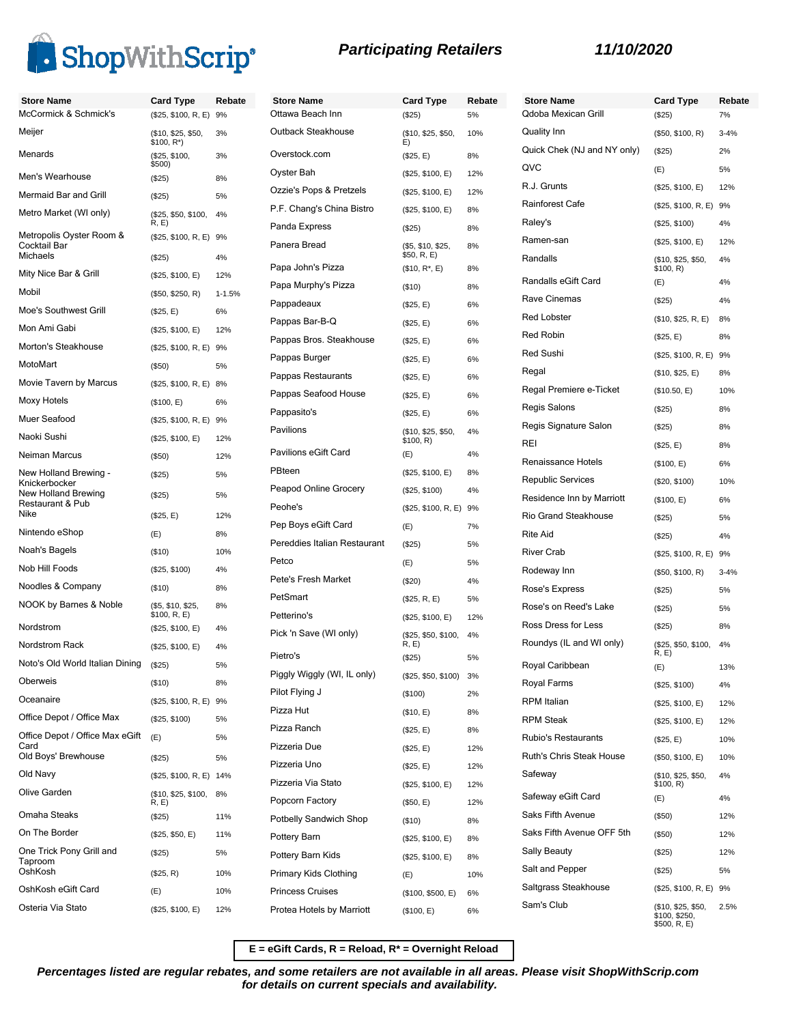

| <b>Store Name</b>                       | <b>Card Type</b>                    | Rebate     | <b>Store Name</b>            | <b>Card Type</b>                 | Rebate | <b>Store Name</b>                  |
|-----------------------------------------|-------------------------------------|------------|------------------------------|----------------------------------|--------|------------------------------------|
| McCormick & Schmick's                   | (\$25, \$100, R, E)                 | 9%         | Ottawa Beach Inn             | (\$25)                           | 5%     | Qdoba Mexican Grill                |
| Meijer                                  | (\$10, \$25, \$50,<br>$$100, R^*$ ) | 3%         | Outback Steakhouse           | (\$10, \$25, \$50,<br>E)         | 10%    | Quality Inn                        |
| Menards                                 | (\$25, \$100,<br>\$500)             | 3%         | Overstock.com                | (\$25, E)                        | 8%     | Quick Chek (NJ and NY only)<br>QVC |
| Men's Wearhouse                         | (\$25)                              | 8%         | Oyster Bah                   | (\$25, \$100, E)                 | 12%    |                                    |
| Mermaid Bar and Grill                   | (\$25)                              | 5%         | Ozzie's Pops & Pretzels      | (\$25, \$100, E)                 | 12%    | R.J. Grunts                        |
| Metro Market (WI only)                  | (\$25, \$50, \$100,<br>R, E)        | 4%         | P.F. Chang's China Bistro    | (\$25, \$100, E)                 | 8%     | Rainforest Cafe<br>Raley's         |
| Metropolis Oyster Room &                | (\$25, \$100, R, E) 9%              |            | Panda Express                | (\$25)                           | 8%     | Ramen-san                          |
| Cocktail Bar<br><b>Michaels</b>         | (\$25)                              | 4%         | Panera Bread                 | (\$5, \$10, \$25,<br>\$50, R, E) | 8%     | Randalls                           |
| Mity Nice Bar & Grill                   | (\$25, \$100, E)                    | 12%        | Papa John's Pizza            | $($10, R^*, E)$                  | 8%     | Randalls eGift Card                |
| Mobil                                   | (\$50, \$250, R)                    | $1 - 1.5%$ | Papa Murphy's Pizza          | (\$10)                           | 8%     |                                    |
| Moe's Southwest Grill                   | (\$25, E)                           | 6%         | Pappadeaux                   | (\$25, E)                        | 6%     | Rave Cinemas                       |
| Mon Ami Gabi                            | (\$25, \$100, E)                    | 12%        | Pappas Bar-B-Q               | (\$25, E)                        | 6%     | <b>Red Lobster</b>                 |
| Morton's Steakhouse                     | (\$25, \$100, R, E) 9%              |            | Pappas Bros. Steakhouse      | (\$25, E)                        | 6%     | <b>Red Robin</b>                   |
| MotoMart                                | (\$50)                              | 5%         | Pappas Burger                | (\$25, E)                        | 6%     | Red Sushi                          |
| Movie Tavern by Marcus                  | (\$25, \$100, R, E) 8%              |            | Pappas Restaurants           | (\$25, E)                        | 6%     | Regal                              |
| Moxy Hotels                             |                                     |            | Pappas Seafood House         | (\$25, E)                        | 6%     | Regal Premiere e-Ticket            |
| Muer Seafood                            | (\$100, E)                          | 6%         | Pappasito's                  | (\$25, E)                        | 6%     | <b>Regis Salons</b>                |
|                                         | (\$25, \$100, R, E) 9%              |            | Pavilions                    | (\$10, \$25, \$50,               | 4%     | Regis Signature Salon              |
| Naoki Sushi                             | (\$25, \$100, E)                    | 12%        | Pavilions eGift Card         | \$100, R)                        |        | REI                                |
| Neiman Marcus                           | (\$50)                              | 12%        |                              | (E)                              | 4%     | Renaissance Hotels                 |
| New Holland Brewing -<br>Knickerbocker  | (\$25)                              | 5%         | PBteen                       | (\$25, \$100, E)                 | 8%     | <b>Republic Services</b>           |
| New Holland Brewing<br>Restaurant & Pub | (\$25)                              | 5%         | Peapod Online Grocery        | (\$25, \$100)                    | 4%     | Residence Inn by Marriott          |
| Nike                                    | (\$25, E)                           | 12%        | Peohe's                      | (\$25, \$100, R, E) 9%           |        | <b>Rio Grand Steakhouse</b>        |
| Nintendo eShop                          | (E)                                 | 8%         | Pep Boys eGift Card          | (E)                              | 7%     | <b>Rite Aid</b>                    |
| Noah's Bagels                           | (\$10)                              | 10%        | Pereddies Italian Restaurant | (\$25)                           | 5%     | <b>River Crab</b>                  |
| Nob Hill Foods                          | (\$25, \$100)                       | 4%         | Petco                        | (E)                              | 5%     | Rodeway Inn                        |
| Noodles & Company                       | (\$10)                              | 8%         | Pete's Fresh Market          | (\$20)                           | 4%     | Rose's Express                     |
| NOOK by Barnes & Noble                  | (\$5, \$10, \$25,                   | 8%         | PetSmart                     | (\$25, R, E)                     | 5%     | Rose's on Reed's Lake              |
|                                         | \$100, R, E)                        |            | Petterino's                  | (\$25, \$100, E)                 | 12%    | Ross Dress for Less                |
| Nordstrom                               | (\$25, \$100, E)                    | 4%         | Pick 'n Save (WI only)       | (\$25, \$50, \$100,              | 4%     |                                    |
| Nordstrom Rack                          | (\$25, \$100, E)                    | 4%         | Pietro's                     | R, E<br>(\$25)                   | 5%     | Roundys (IL and WI only)           |
| Noto's Old World Italian Dining         | (\$25)                              | 5%         | Piggly Wiggly (WI, IL only)  | (\$25, \$50, \$100)              | 3%     | Royal Caribbean                    |
| Oberweis                                | (\$10)                              | 8%         | Pilot Flying J               | (\$100)                          | 2%     | Royal Farms                        |
| Oceanaire                               | (\$25, \$100, R, E) 9%              |            | Pizza Hut                    |                                  |        | <b>RPM</b> Italian                 |
| Office Depot / Office Max               | (\$25, \$100)                       | 5%         |                              | (\$10, E)                        | 8%     | <b>RPM Steak</b>                   |
| Office Depot / Office Max eGift         | (E)                                 | 5%         | Pizza Ranch                  | (\$25, E)                        | 8%     | Rubio's Restaurants                |
| Card<br>Old Boys' Brewhouse             | (\$25)                              | 5%         | Pizzeria Due                 | (\$25, E)                        | 12%    | Ruth's Chris Steak House           |
| Old Navy                                | (\$25, \$100, R, E) 14%             |            | Pizzeria Uno                 | (\$25, E)                        | 12%    | Safeway                            |
| Olive Garden                            | (\$10, \$25, \$100, 8%)             |            | Pizzeria Via Stato           | (\$25, \$100, E)                 | 12%    | Safeway eGift Card                 |
|                                         | R, E)                               |            | Popcorn Factory              | (\$50, E)                        | 12%    |                                    |
| Omaha Steaks                            | (\$25)                              | 11%        | Potbelly Sandwich Shop       | (\$10)                           | 8%     | Saks Fifth Avenue                  |
| On The Border                           | (\$25, \$50, E)                     | 11%        | Pottery Barn                 | (\$25, \$100, E)                 | 8%     | Saks Fifth Avenue OFF 5th          |
| One Trick Pony Grill and<br>Taproom     | (\$25)                              | 5%         | Pottery Barn Kids            | (\$25, \$100, E)                 | 8%     | Sally Beauty                       |
| OshKosh                                 | (\$25, R)                           | 10%        | Primary Kids Clothing        | (E)                              | 10%    | Salt and Pepper                    |
| OshKosh eGift Card                      | (E)                                 | 10%        | <b>Princess Cruises</b>      | (\$100, \$500, E)                | 6%     | Saltgrass Steakhouse               |
| Osteria Via Stato                       | (\$25, \$100, E)                    | 12%        | Protea Hotels by Marriott    | (\$100, E)                       | 6%     | Sam's Club                         |

| <b>Store Name</b>           | <b>Card Type</b>                                    | Rebate   |
|-----------------------------|-----------------------------------------------------|----------|
| Qdoba Mexican Grill         | $(\$25)$                                            | 7%       |
| Quality Inn                 | (\$50, \$100, R)                                    | $3 - 4%$ |
| Quick Chek (NJ and NY only) | (\$25)                                              | 2%       |
| QVC                         | (E)                                                 | 5%       |
| R.J. Grunts                 | (\$25, \$100, E)                                    | 12%      |
| Rainforest Cafe             | (\$25, \$100, R, E)                                 | 9%       |
| Raley's                     | (\$25, \$100)                                       | 4%       |
| Ramen-san                   | (\$25, \$100, E)                                    | 12%      |
| Randalls                    | (\$10, \$25, \$50,<br>\$100, R)                     | 4%       |
| Randalls eGift Card         | (E)                                                 | 4%       |
| Rave Cinemas                | (\$25)                                              | 4%       |
| Red Lobster                 | (\$10, \$25, R, E)                                  | 8%       |
| Red Robin                   | (\$25, E)                                           | 8%       |
| Red Sushi                   | (\$25, \$100, R, E)                                 | 9%       |
| Regal                       | (\$10, \$25, E)                                     | 8%       |
| Regal Premiere e-Ticket     | (\$10.50, E)                                        | 10%      |
| Regis Salons                | (\$25)                                              | 8%       |
| Regis Signature Salon       | (\$25)                                              | 8%       |
| REI                         | (\$25, E)                                           | 8%       |
| Renaissance Hotels          | (\$100, E)                                          | 6%       |
| Republic Services           | (\$20, \$100)                                       | 10%      |
| Residence Inn by Marriott   | (\$100, E)                                          | 6%       |
| Rio Grand Steakhouse        | $(\$25)$                                            | 5%       |
| <b>Rite Aid</b>             | (\$25)                                              | 4%       |
| River Crab                  | (\$25, \$100, R, E)                                 | 9%       |
| Rodeway Inn                 | (\$50, \$100, R)                                    | $3 - 4%$ |
| Rose's Express              | $(\$25)$                                            | 5%       |
| Rose's on Reed's Lake       | (\$25)                                              | 5%       |
| Ross Dress for Less         | $(\$25)$                                            | 8%       |
| Roundys (IL and WI only)    | (\$25, \$50, \$100,<br>R, E                         | 4%       |
| Royal Caribbean             | (E)                                                 | 13%      |
| Royal Farms                 | (\$25, \$100)                                       | 4%       |
| <b>RPM</b> Italian          | (\$25, \$100, E)                                    | 12%      |
| RPM Steak                   | (\$25, \$100, E)                                    | 12%      |
| <b>Rubio's Restaurants</b>  | (\$25, E)                                           | 10%      |
| Ruth's Chris Steak House    | (\$50, \$100, E)                                    | 10%      |
| Safeway                     | (\$10, \$25, \$50,<br>\$100, R)                     | 4%       |
| Safeway eGift Card          | (E)                                                 | 4%       |
| <b>Saks Fifth Avenue</b>    | $($ \$50)                                           | 12%      |
| Saks Fifth Avenue OFF 5th   | $($ \$50)                                           | 12%      |
| Sally Beauty                | $(\$25)$                                            | 12%      |
| Salt and Pepper             | (\$25)                                              | 5%       |
| Saltgrass Steakhouse        | (\$25, \$100, R, E)                                 | 9%       |
| Sam's Club                  | (\$10, \$25, \$50,<br>\$100, \$250,<br>\$500, R, E) | 2.5%     |

**E = eGift Cards, R = Reload, R\* = Overnight Reload**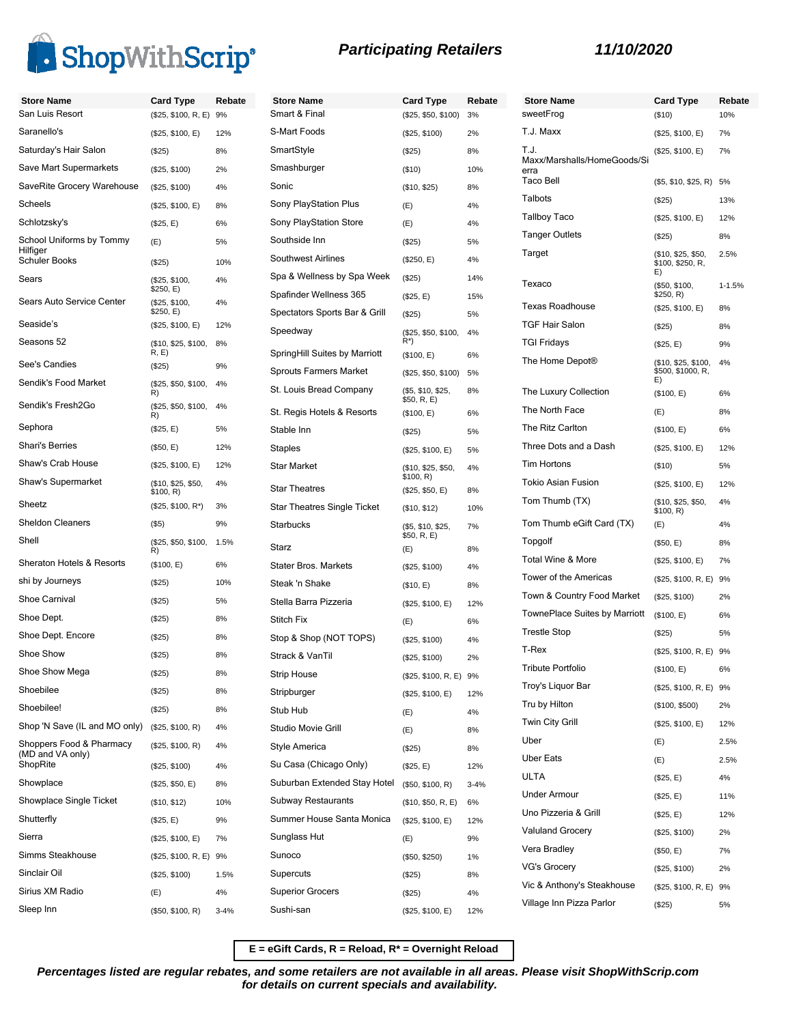

**Store Name Card Type Rebate**

| <b>Store Name</b><br>San Luis Resort         | <b>Card Type</b><br>(\$25, \$100, R, E) 9% | Rebate   | <b>Store Name</b><br>Smart & Final | <b>Card Type</b><br>(\$25, \$50, \$100) | Reb<br>3% |
|----------------------------------------------|--------------------------------------------|----------|------------------------------------|-----------------------------------------|-----------|
| Saranello's                                  | (\$25, \$100, E)                           | 12%      | S-Mart Foods                       | (\$25, \$100)                           | 2%        |
| Saturday's Hair Salon                        | (\$25)                                     | 8%       | SmartStyle                         | (\$25)                                  | 8%        |
| Save Mart Supermarkets                       | (\$25, \$100)                              | 2%       | Smashburger                        | (\$10)                                  | 10%       |
| SaveRite Grocery Warehouse                   | (\$25, \$100)                              | 4%       | Sonic                              | (\$10, \$25)                            | 8%        |
| Scheels                                      | (\$25, \$100, E)                           | 8%       | Sony PlayStation Plus              | (E)                                     | 4%        |
| Schlotzsky's                                 | (\$25, E)                                  | 6%       | Sony PlayStation Store             | (E)                                     | 4%        |
| School Uniforms by Tommy                     | (E)                                        | 5%       | Southside Inn                      | (\$25)                                  | 5%        |
| Hilfiger<br><b>Schuler Books</b>             | (\$25)                                     | 10%      | <b>Southwest Airlines</b>          | (\$250, E)                              | 4%        |
| Sears                                        | (\$25, \$100,                              | 4%       | Spa & Wellness by Spa Week         | (\$25)                                  | 14%       |
|                                              | \$250, E)                                  |          | Spafinder Wellness 365             | (\$25, E)                               | 15%       |
| Sears Auto Service Center                    | (\$25, \$100,<br>\$250, E)                 | 4%       | Spectators Sports Bar & Grill      | (\$25)                                  | 5%        |
| Seaside's                                    | (\$25, \$100, E)                           | 12%      | Speedway                           | (\$25, \$50, \$100,                     | 4%        |
| Seasons 52                                   | (\$10, \$25, \$100,<br>R, E)               | 8%       | SpringHill Suites by Marriott      | R*)                                     | 6%        |
| See's Candies                                | (\$25)                                     | 9%       | <b>Sprouts Farmers Market</b>      | (\$100, E)<br>(\$25, \$50, \$100)       | 5%        |
| Sendik's Food Market                         | (\$25, \$50, \$100,                        | 4%       | St. Louis Bread Company            | (\$5, \$10, \$25,                       | 8%        |
| Sendik's Fresh2Go                            | R)<br>(\$25, \$50, \$100,                  | 4%       |                                    | \$50, R, E)                             |           |
| Sephora                                      | R)                                         |          | St. Regis Hotels & Resorts         | (\$100, E)                              | 6%        |
| Shari's Berries                              | (\$25, E)                                  | 5%       | Stable Inn                         | (\$25)                                  | 5%        |
| Shaw's Crab House                            | (\$50, E)                                  | 12%      | <b>Staples</b>                     | (\$25, \$100, E)                        | 5%        |
| Shaw's Supermarket                           | (\$25, \$100, E)                           | 12%      | <b>Star Market</b>                 | (\$10, \$25, \$50,<br>\$100, R)         | 4%        |
|                                              | (\$10, \$25, \$50,<br>\$100, R)            | 4%       | <b>Star Theatres</b>               | (\$25, \$50, E)                         | 8%        |
| Sheetz                                       | $($25, $100, R^*)$                         | 3%       | <b>Star Theatres Single Ticket</b> | (\$10, \$12)                            | 10%       |
| <b>Sheldon Cleaners</b>                      | $($ \$5)                                   | 9%       | <b>Starbucks</b>                   | (\$5, \$10, \$25,<br>\$50, R, E)        | 7%        |
| Shell                                        | (\$25, \$50, \$100,<br>R)                  | 1.5%     | Starz                              | (E)                                     | 8%        |
| Sheraton Hotels & Resorts                    | (\$100, E)                                 | 6%       | Stater Bros. Markets               | (\$25, \$100)                           | 4%        |
| shi by Journeys                              | (\$25)                                     | 10%      | Steak 'n Shake                     | (\$10, E)                               | 8%        |
| Shoe Carnival                                | (\$25)                                     | 5%       | Stella Barra Pizzeria              | (\$25, \$100, E)                        | 12%       |
| Shoe Dept.                                   | (\$25)                                     | 8%       | Stitch Fix                         | (E)                                     | 6%        |
| Shoe Dept. Encore                            | (\$25)                                     | 8%       | Stop & Shop (NOT TOPS)             | (\$25, \$100)                           | 4%        |
| Shoe Show                                    | (\$25)                                     | 8%       | Strack & VanTil                    | (\$25, \$100)                           | 2%        |
| Shoe Show Mega                               | (\$25)                                     | 8%       | Strip House                        | (\$25, \$100, R, E) 9%                  |           |
| Shoebilee                                    | (\$25)                                     | 8%       | Stripburger                        | (\$25, \$100, E)                        | 12%       |
| Shoebilee!                                   | (\$25)                                     | 8%       | Stub Hub                           | (E)                                     | 4%        |
| Shop 'N Save (IL and MO only)                | (\$25, \$100, R)                           | 4%       | Studio Movie Grill                 | (E)                                     | 8%        |
| Shoppers Food & Pharmacy<br>(MD and VA only) | (\$25, \$100, R)                           | 4%       | Style America                      | $(\$25)$                                | 8%        |
| ShopRite                                     | (\$25, \$100)                              | 4%       | Su Casa (Chicago Only)             | (\$25, E)                               | 12%       |
| Showplace                                    | (\$25, \$50, E)                            | 8%       | Suburban Extended Stay Hotel       | (\$50, \$100, R)                        | $3 - 4%$  |
| Showplace Single Ticket                      | (\$10, \$12)                               | 10%      | <b>Subway Restaurants</b>          | (\$10, \$50, R, E)                      | 6%        |
| Shutterfly                                   | (\$25, E)                                  | 9%       | Summer House Santa Monica          | (\$25, \$100, E)                        | 12%       |
| Sierra                                       | (\$25, \$100, E)                           | 7%       | Sunglass Hut                       | (E)                                     | 9%        |
| Simms Steakhouse                             | (\$25, \$100, R, E) 9%                     |          | Sunoco                             | (\$50, \$250)                           | 1%        |
| Sinclair Oil                                 | (\$25, \$100)                              | 1.5%     | Supercuts                          | (\$25)                                  | 8%        |
| Sirius XM Radio                              | (E)                                        | 4%       | <b>Superior Grocers</b>            | (\$25)                                  | 4%        |
| Sleep Inn                                    | (\$50, \$100, R)                           | $3 - 4%$ | Sushi-san                          | (\$25, \$100, E)                        | 12%       |

| Store Name                                  | Card Type                                      | Rebate     |
|---------------------------------------------|------------------------------------------------|------------|
| sweetFroq                                   | (\$10)                                         | 10%        |
| T.J. Maxx                                   | (\$25, \$100, E)                               | 7%         |
| T.J.<br>Maxx/Marshalls/HomeGoods/Si<br>erra | (\$25, \$100, E)                               | 7%         |
| Taco Bell                                   | (S5, \$10, \$25, R)                            | 5%         |
| Talbots                                     | $(\$25)$                                       | 13%        |
| <b>Tallboy Taco</b>                         | (\$25, \$100, E)                               | 12%        |
| Tanger Outlets                              | (\$25)                                         | 8%         |
| Target                                      | (\$10, \$25, \$50,<br>\$100, \$250, R.<br>E)   | 2.5%       |
| Texaco                                      | (\$50, \$100,<br>\$250, R)                     | $1 - 1.5%$ |
| Texas Roadhouse                             | (\$25, \$100, E)                               | 8%         |
| TGF Hair Salon                              | $(\$25)$                                       | 8%         |
| <b>TGI Fridays</b>                          | (\$25, E)                                      | 9%         |
| The Home Depot®                             | (\$10, \$25, \$100,<br>\$500, \$1000, R,<br>E) | 4%         |
| The Luxury Collection                       | (\$100, E)                                     | 6%         |
| The North Face                              | (E)                                            | 8%         |
| The Ritz Carlton                            | (\$100, E)                                     | 6%         |
| Three Dots and a Dash                       | (\$25, \$100, E)                               | 12%        |
| <b>Tim Hortons</b>                          | (\$10)                                         | 5%         |
| Tokio Asian Fusion                          | (\$25, \$100, E)                               | 12%        |
| Tom Thumb (TX)                              | (\$10, \$25, \$50,<br>\$100, R)                | 4%         |
| Tom Thumb eGift Card (TX)                   | (E)                                            | 4%         |
| Topgolf                                     | (\$50, E)                                      | 8%         |
| <b>Total Wine &amp; More</b>                | (\$25, \$100, E)                               | 7%         |
| Tower of the Americas                       | (\$25, \$100, R, E)                            | 9%         |
| Town & Country Food Market                  | (\$25, \$100)                                  | 2%         |
| TownePlace Suites by Marriott               | (\$100, E)                                     | 6%         |
| <b>Trestle Stop</b>                         | (\$25)                                         | 5%         |
| T-Rex                                       | (\$25, \$100, R, E)                            | 9%         |
| <b>Tribute Portfolio</b>                    | (\$100, E)                                     | 6%         |
| Troy's Liquor Bar                           | (\$25, \$100, R, E) 9%                         |            |
| Tru by Hilton                               | (\$100, \$500)                                 | 2%         |
| <b>Twin City Grill</b>                      | (\$25, \$100, E)                               | 12%        |
| Uber                                        | (E)                                            | 2.5%       |
| Uber Eats                                   | (E)                                            | 2.5%       |
| ULTA                                        | (\$25, E)                                      | 4%         |
| <b>Under Armour</b>                         | (\$25, E)                                      | 11%        |
| Uno Pizzeria & Grill                        | (\$25, E)                                      | 12%        |
| Valuland Grocery                            | (\$25, \$100)                                  | 2%         |
| Vera Bradley                                | (\$50, E)                                      | 7%         |
| <b>VG's Grocery</b>                         | (\$25, \$100)                                  | 2%         |
| Vic & Anthony's Steakhouse                  | (\$25, \$100, R, E) 9%                         |            |
| Village Inn Pizza Parlor                    | (\$25)                                         | 5%         |

**E = eGift Cards, R = Reload, R\* = Overnight Reload**